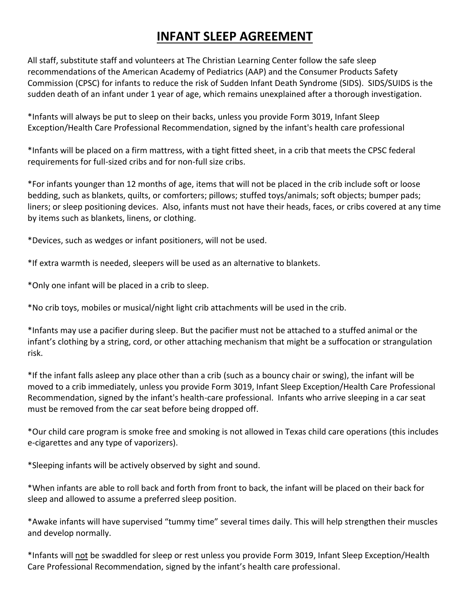## **INFANT SLEEP AGREEMENT**

All staff, substitute staff and volunteers at The Christian Learning Center follow the safe sleep recommendations of the American Academy of Pediatrics (AAP) and the Consumer Products Safety Commission (CPSC) for infants to reduce the risk of Sudden Infant Death Syndrome (SIDS). SIDS/SUIDS is the sudden death of an infant under 1 year of age, which remains unexplained after a thorough investigation.

\*Infants will always be put to sleep on their backs, unless you provide Form 3019, Infant Sleep Exception/Health Care Professional Recommendation, signed by the infant's health care professional

\*Infants will be placed on a firm mattress, with a tight fitted sheet, in a crib that meets the CPSC federal requirements for full-sized cribs and for non-full size cribs.

\*For infants younger than 12 months of age, items that will not be placed in the crib include soft or loose bedding, such as blankets, quilts, or comforters; pillows; stuffed toys/animals; soft objects; bumper pads; liners; or sleep positioning devices. Also, infants must not have their heads, faces, or cribs covered at any time by items such as blankets, linens, or clothing.

\*Devices, such as wedges or infant positioners, will not be used.

\*If extra warmth is needed, sleepers will be used as an alternative to blankets.

\*Only one infant will be placed in a crib to sleep.

\*No crib toys, mobiles or musical/night light crib attachments will be used in the crib.

\*Infants may use a pacifier during sleep. But the pacifier must not be attached to a stuffed animal or the infant's clothing by a string, cord, or other attaching mechanism that might be a suffocation or strangulation risk.

\*If the infant falls asleep any place other than a crib (such as a bouncy chair or swing), the infant will be moved to a crib immediately, unless you provide Form 3019, Infant Sleep Exception/Health Care Professional Recommendation, signed by the infant's health-care professional. Infants who arrive sleeping in a car seat must be removed from the car seat before being dropped off.

\*Our child care program is smoke free and smoking is not allowed in Texas child care operations (this includes e-cigarettes and any type of vaporizers).

\*Sleeping infants will be actively observed by sight and sound.

\*When infants are able to roll back and forth from front to back, the infant will be placed on their back for sleep and allowed to assume a preferred sleep position.

\*Awake infants will have supervised "tummy time" several times daily. This will help strengthen their muscles and develop normally.

\*Infants will not be swaddled for sleep or rest unless you provide Form 3019, Infant Sleep Exception/Health Care Professional Recommendation, signed by the infant's health care professional.